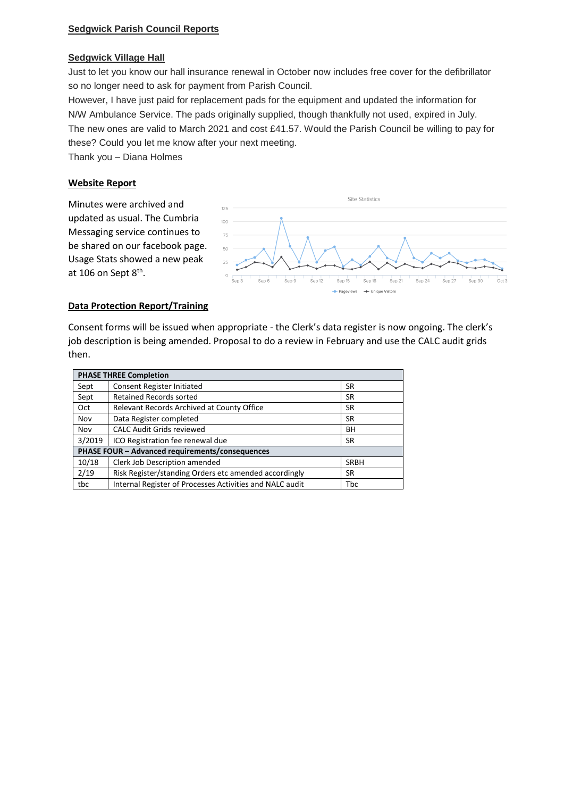## **Sedgwick Village Hall**

Just to let you know our hall insurance renewal in October now includes free cover for the defibrillator so no longer need to ask for payment from Parish Council.

However, I have just paid for replacement pads for the equipment and updated the information for N/W Ambulance Service. The pads originally supplied, though thankfully not used, expired in July. The new ones are valid to March 2021 and cost £41.57. Would the Parish Council be willing to pay for these? Could you let me know after your next meeting.

Thank you – Diana Holmes

## **Website Report**

Minutes were archived and updated as usual. The Cumbria Messaging service continues to be shared on our facebook page. Usage Stats showed a new peak at 106 on Sept 8<sup>th</sup>.



## **Data Protection Report/Training**

Consent forms will be issued when appropriate - the Clerk's data register is now ongoing. The clerk's job description is being amended. Proposal to do a review in February and use the CALC audit grids then.

| <b>PHASE THREE Completion</b>                   |                                                          |             |
|-------------------------------------------------|----------------------------------------------------------|-------------|
| Sept                                            | <b>Consent Register Initiated</b>                        | <b>SR</b>   |
| Sept                                            | <b>Retained Records sorted</b>                           | <b>SR</b>   |
| Oct                                             | Relevant Records Archived at County Office               | SR.         |
| Nov                                             | Data Register completed                                  | SR          |
| Nov                                             | <b>CALC Audit Grids reviewed</b>                         | BH          |
| 3/2019                                          | ICO Registration fee renewal due                         | SR.         |
| PHASE FOUR - Advanced requirements/consequences |                                                          |             |
| 10/18                                           | Clerk Job Description amended                            | <b>SRBH</b> |
| 2/19                                            | Risk Register/standing Orders etc amended accordingly    | SR          |
| tbc                                             | Internal Register of Processes Activities and NALC audit | <b>Tbc</b>  |